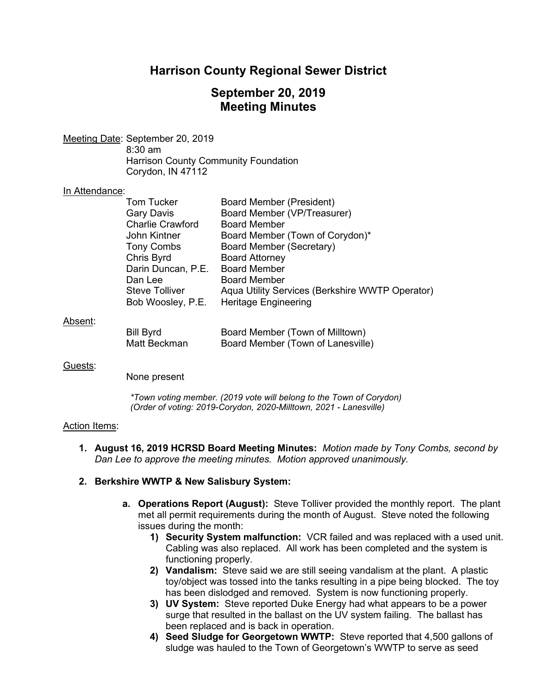# **Harrison County Regional Sewer District**

# **September 20, 2019 Meeting Minutes**

Meeting Date: September 20, 2019 8:30 am Harrison County Community Foundation Corydon, IN 47112

#### In Attendance:

| <b>Tom Tucker</b>       | <b>Board Member (President)</b>                 |
|-------------------------|-------------------------------------------------|
| <b>Gary Davis</b>       | Board Member (VP/Treasurer)                     |
| <b>Charlie Crawford</b> | <b>Board Member</b>                             |
| John Kintner            | Board Member (Town of Corydon)*                 |
| <b>Tony Combs</b>       | Board Member (Secretary)                        |
| Chris Byrd              | <b>Board Attorney</b>                           |
| Darin Duncan, P.E.      | <b>Board Member</b>                             |
| Dan Lee                 | <b>Board Member</b>                             |
| <b>Steve Tolliver</b>   | Aqua Utility Services (Berkshire WWTP Operator) |
| Bob Woosley, P.E.       | <b>Heritage Engineering</b>                     |
|                         |                                                 |
|                         |                                                 |

#### Absent:

| <b>Bill Byrd</b> | Board Member (Town of Milltown)   |
|------------------|-----------------------------------|
| Matt Beckman     | Board Member (Town of Lanesville) |

### Guests:

None present

*\*Town voting member. (2019 vote will belong to the Town of Corydon) (Order of voting: 2019-Corydon, 2020-Milltown, 2021 - Lanesville)*

#### Action Items:

**1. August 16, 2019 HCRSD Board Meeting Minutes:** *Motion made by Tony Combs, second by Dan Lee to approve the meeting minutes. Motion approved unanimously.*

### **2. Berkshire WWTP & New Salisbury System:**

- **a. Operations Report (August):** Steve Tolliver provided the monthly report. The plant met all permit requirements during the month of August. Steve noted the following issues during the month:
	- **1) Security System malfunction:** VCR failed and was replaced with a used unit. Cabling was also replaced. All work has been completed and the system is functioning properly.
	- **2) Vandalism:** Steve said we are still seeing vandalism at the plant. A plastic toy/object was tossed into the tanks resulting in a pipe being blocked. The toy has been dislodged and removed. System is now functioning properly.
	- **3) UV System:** Steve reported Duke Energy had what appears to be a power surge that resulted in the ballast on the UV system failing. The ballast has been replaced and is back in operation.
	- **4) Seed Sludge for Georgetown WWTP:** Steve reported that 4,500 gallons of sludge was hauled to the Town of Georgetown's WWTP to serve as seed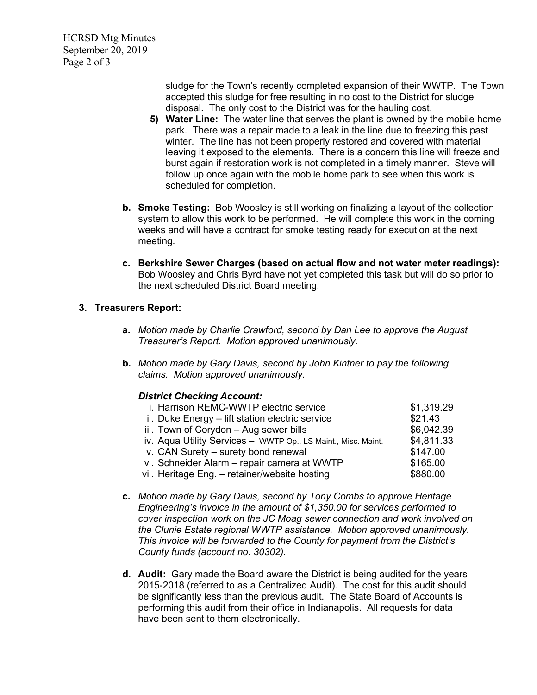HCRSD Mtg Minutes September 20, 2019 Page 2 of 3

> sludge for the Town's recently completed expansion of their WWTP. The Town accepted this sludge for free resulting in no cost to the District for sludge disposal. The only cost to the District was for the hauling cost.

- **5) Water Line:** The water line that serves the plant is owned by the mobile home park. There was a repair made to a leak in the line due to freezing this past winter. The line has not been properly restored and covered with material leaving it exposed to the elements. There is a concern this line will freeze and burst again if restoration work is not completed in a timely manner. Steve will follow up once again with the mobile home park to see when this work is scheduled for completion.
- **b. Smoke Testing:** Bob Woosley is still working on finalizing a layout of the collection system to allow this work to be performed. He will complete this work in the coming weeks and will have a contract for smoke testing ready for execution at the next meeting.
- **c. Berkshire Sewer Charges (based on actual flow and not water meter readings):** Bob Woosley and Chris Byrd have not yet completed this task but will do so prior to the next scheduled District Board meeting.

### **3. Treasurers Report:**

- **a.** *Motion made by Charlie Crawford, second by Dan Lee to approve the August Treasurer's Report. Motion approved unanimously.*
- **b.** *Motion made by Gary Davis, second by John Kintner to pay the following claims. Motion approved unanimously.*

## *District Checking Account:*

| i. Harrison REMC-WWTP electric service                        | \$1,319.29 |
|---------------------------------------------------------------|------------|
| ii. Duke Energy - lift station electric service               | \$21.43    |
| iii. Town of Corydon - Aug sewer bills                        | \$6,042.39 |
| iv. Aqua Utility Services - WWTP Op., LS Maint., Misc. Maint. | \$4,811.33 |
| v. CAN Surety – surety bond renewal                           | \$147.00   |
| vi. Schneider Alarm - repair camera at WWTP                   | \$165.00   |
| vii. Heritage Eng. - retainer/website hosting                 | \$880.00   |

- **c.** *Motion made by Gary Davis, second by Tony Combs to approve Heritage Engineering's invoice in the amount of \$1,350.00 for services performed to cover inspection work on the JC Moag sewer connection and work involved on the Clunie Estate regional WWTP assistance. Motion approved unanimously. This invoice will be forwarded to the County for payment from the District's County funds (account no. 30302).*
- **d. Audit:** Gary made the Board aware the District is being audited for the years 2015-2018 (referred to as a Centralized Audit). The cost for this audit should be significantly less than the previous audit. The State Board of Accounts is performing this audit from their office in Indianapolis. All requests for data have been sent to them electronically.